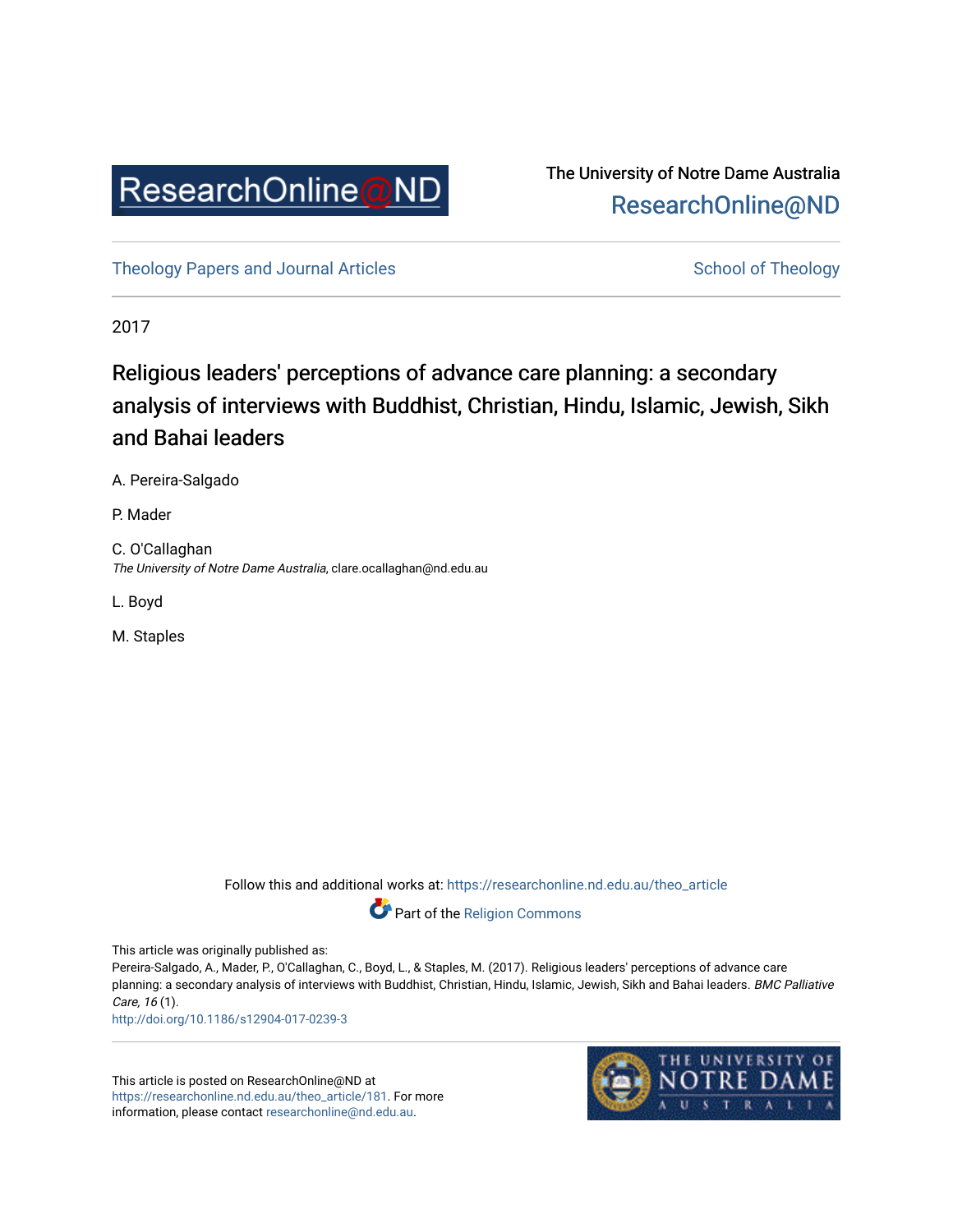

The University of Notre Dame Australia [ResearchOnline@ND](https://researchonline.nd.edu.au/) 

[Theology Papers and Journal Articles](https://researchonline.nd.edu.au/theo_article) and [School of Theology](https://researchonline.nd.edu.au/theo) School of Theology

2017

# Religious leaders' perceptions of advance care planning: a secondary analysis of interviews with Buddhist, Christian, Hindu, Islamic, Jewish, Sikh and Bahai leaders

A. Pereira-Salgado

P. Mader

C. O'Callaghan The University of Notre Dame Australia, clare.ocallaghan@nd.edu.au

L. Boyd

M. Staples

Follow this and additional works at: [https://researchonline.nd.edu.au/theo\\_article](https://researchonline.nd.edu.au/theo_article?utm_source=researchonline.nd.edu.au%2Ftheo_article%2F181&utm_medium=PDF&utm_campaign=PDFCoverPages) 



This article was originally published as:

Pereira-Salgado, A., Mader, P., O'Callaghan, C., Boyd, L., & Staples, M. (2017). Religious leaders' perceptions of advance care planning: a secondary analysis of interviews with Buddhist, Christian, Hindu, Islamic, Jewish, Sikh and Bahai leaders. BMC Palliative Care, 16 (1).

<http://doi.org/10.1186/s12904-017-0239-3>

This article is posted on ResearchOnline@ND at [https://researchonline.nd.edu.au/theo\\_article/181](https://researchonline.nd.edu.au/theo_article/181). For more information, please contact [researchonline@nd.edu.au.](mailto:researchonline@nd.edu.au)

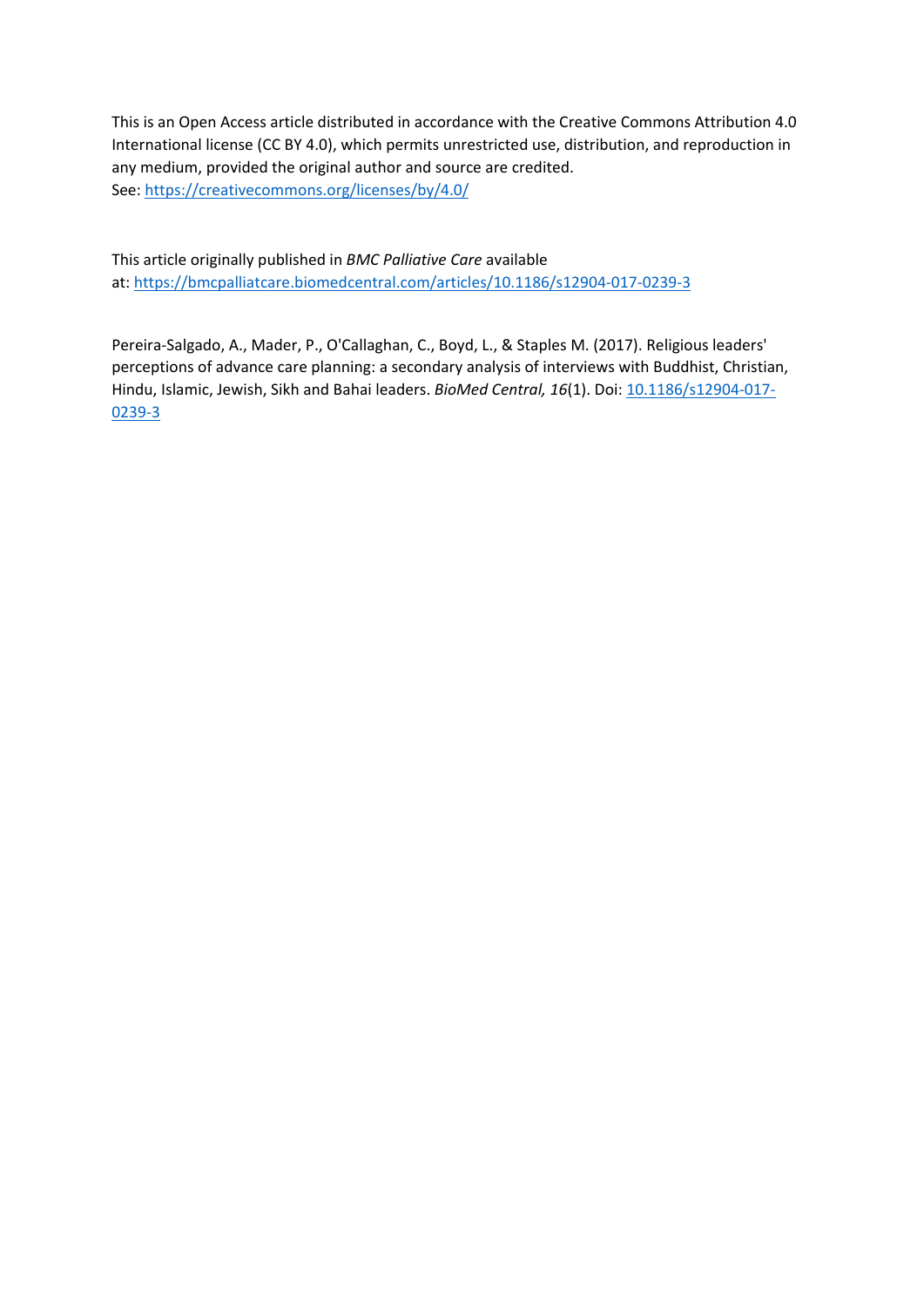This is an Open Access article distributed in accordance with the Creative Commons Attribution 4.0 International license (CC BY 4.0), which permits unrestricted use, distribution, and reproduction in any medium, provided the original author and source are credited. See:<https://creativecommons.org/licenses/by/4.0/>

This article originally published in *BMC Palliative Care* available at:<https://bmcpalliatcare.biomedcentral.com/articles/10.1186/s12904-017-0239-3>

Pereira-Salgado, A., Mader, P., O'Callaghan, C., Boyd, L., & Staples M. (2017). Religious leaders' perceptions of advance care planning: a secondary analysis of interviews with Buddhist, Christian, Hindu, Islamic, Jewish, Sikh and Bahai leaders. *BioMed Central, 16*(1). Doi[: 10.1186/s12904-017-](https://doi.org/10.1186/s12904-017-0239-3) [0239-3](https://doi.org/10.1186/s12904-017-0239-3)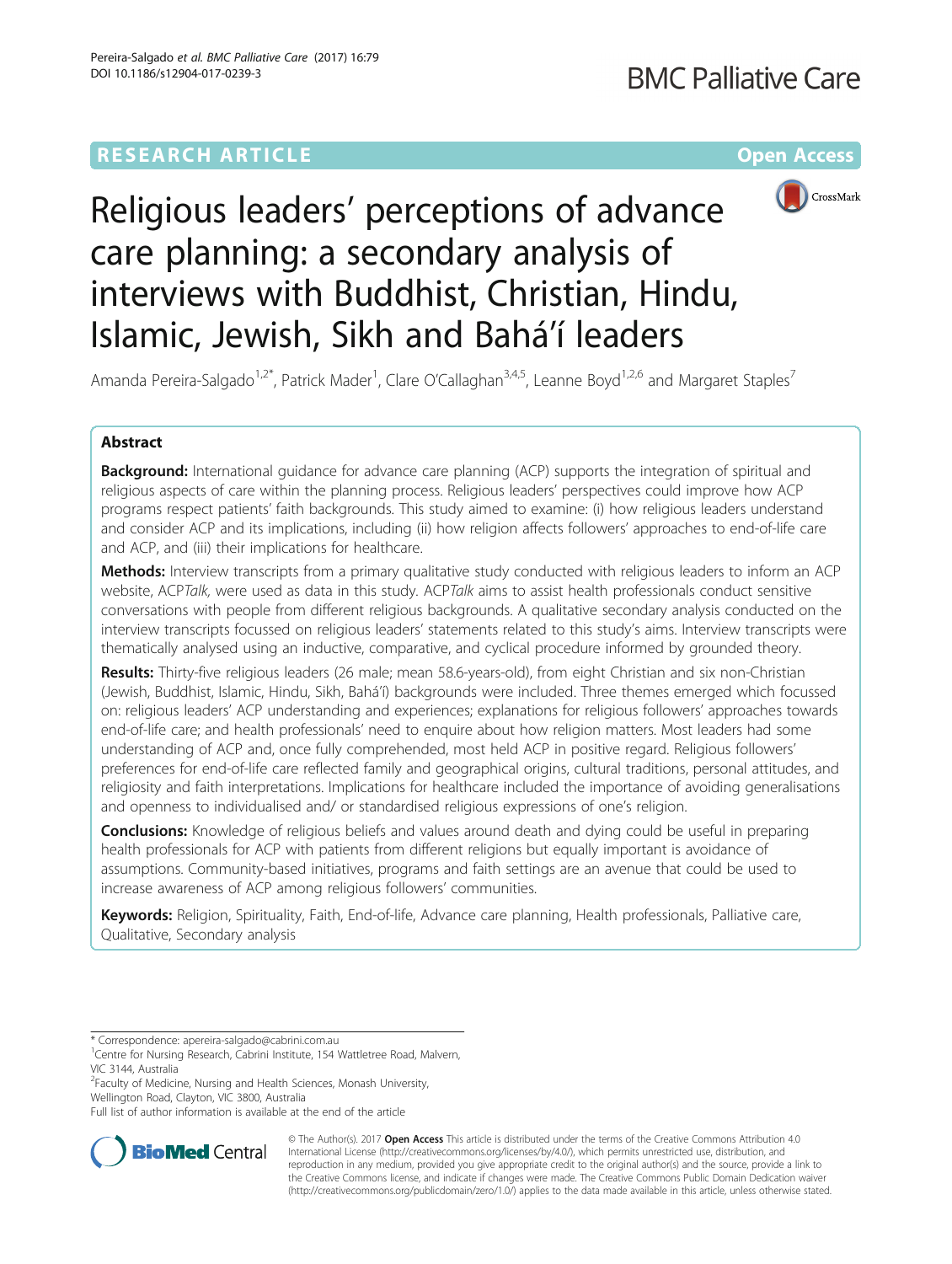# **RESEARCH ARTICLE Example 2014 12:30 The Community Community Community Community Community Community Community**



Religious leaders' perceptions of advance care planning: a secondary analysis of interviews with Buddhist, Christian, Hindu, Islamic, Jewish, Sikh and Bahá'í leaders

Amanda Pereira-Salgado<sup>1,2\*</sup>, Patrick Mader<sup>1</sup>, Clare O'Callaghan<sup>3,4,5</sup>, Leanne Boyd<sup>1,2,6</sup> and Margaret Staples<sup>7</sup>

# Abstract

**Background:** International guidance for advance care planning (ACP) supports the integration of spiritual and religious aspects of care within the planning process. Religious leaders' perspectives could improve how ACP programs respect patients' faith backgrounds. This study aimed to examine: (i) how religious leaders understand and consider ACP and its implications, including (ii) how religion affects followers' approaches to end-of-life care and ACP, and (iii) their implications for healthcare.

Methods: Interview transcripts from a primary qualitative study conducted with religious leaders to inform an ACP website, ACPTalk, were used as data in this study. ACPTalk aims to assist health professionals conduct sensitive conversations with people from different religious backgrounds. A qualitative secondary analysis conducted on the interview transcripts focussed on religious leaders' statements related to this study's aims. Interview transcripts were thematically analysed using an inductive, comparative, and cyclical procedure informed by grounded theory.

Results: Thirty-five religious leaders (26 male; mean 58.6-years-old), from eight Christian and six non-Christian (Jewish, Buddhist, Islamic, Hindu, Sikh, Bahá'í) backgrounds were included. Three themes emerged which focussed on: religious leaders' ACP understanding and experiences; explanations for religious followers' approaches towards end-of-life care; and health professionals' need to enquire about how religion matters. Most leaders had some understanding of ACP and, once fully comprehended, most held ACP in positive regard. Religious followers' preferences for end-of-life care reflected family and geographical origins, cultural traditions, personal attitudes, and religiosity and faith interpretations. Implications for healthcare included the importance of avoiding generalisations and openness to individualised and/ or standardised religious expressions of one's religion.

**Conclusions:** Knowledge of religious beliefs and values around death and dying could be useful in preparing health professionals for ACP with patients from different religions but equally important is avoidance of assumptions. Community-based initiatives, programs and faith settings are an avenue that could be used to increase awareness of ACP among religious followers' communities.

Keywords: Religion, Spirituality, Faith, End-of-life, Advance care planning, Health professionals, Palliative care, Qualitative, Secondary analysis

<sup>2</sup> Faculty of Medicine, Nursing and Health Sciences, Monash University, Wellington Road, Clayton, VIC 3800, Australia

Full list of author information is available at the end of the article



© The Author(s). 2017 **Open Access** This article is distributed under the terms of the Creative Commons Attribution 4.0 International License [\(http://creativecommons.org/licenses/by/4.0/](http://creativecommons.org/licenses/by/4.0/)), which permits unrestricted use, distribution, and reproduction in any medium, provided you give appropriate credit to the original author(s) and the source, provide a link to the Creative Commons license, and indicate if changes were made. The Creative Commons Public Domain Dedication waiver [\(http://creativecommons.org/publicdomain/zero/1.0/](http://creativecommons.org/publicdomain/zero/1.0/)) applies to the data made available in this article, unless otherwise stated.

<sup>\*</sup> Correspondence: [apereira-salgado@cabrini.com.au](mailto:apereira-salgado@cabrini.com.au) <sup>1</sup>

<sup>&</sup>lt;sup>1</sup> Centre for Nursing Research, Cabrini Institute, 154 Wattletree Road, Malvern, VIC 3144, Australia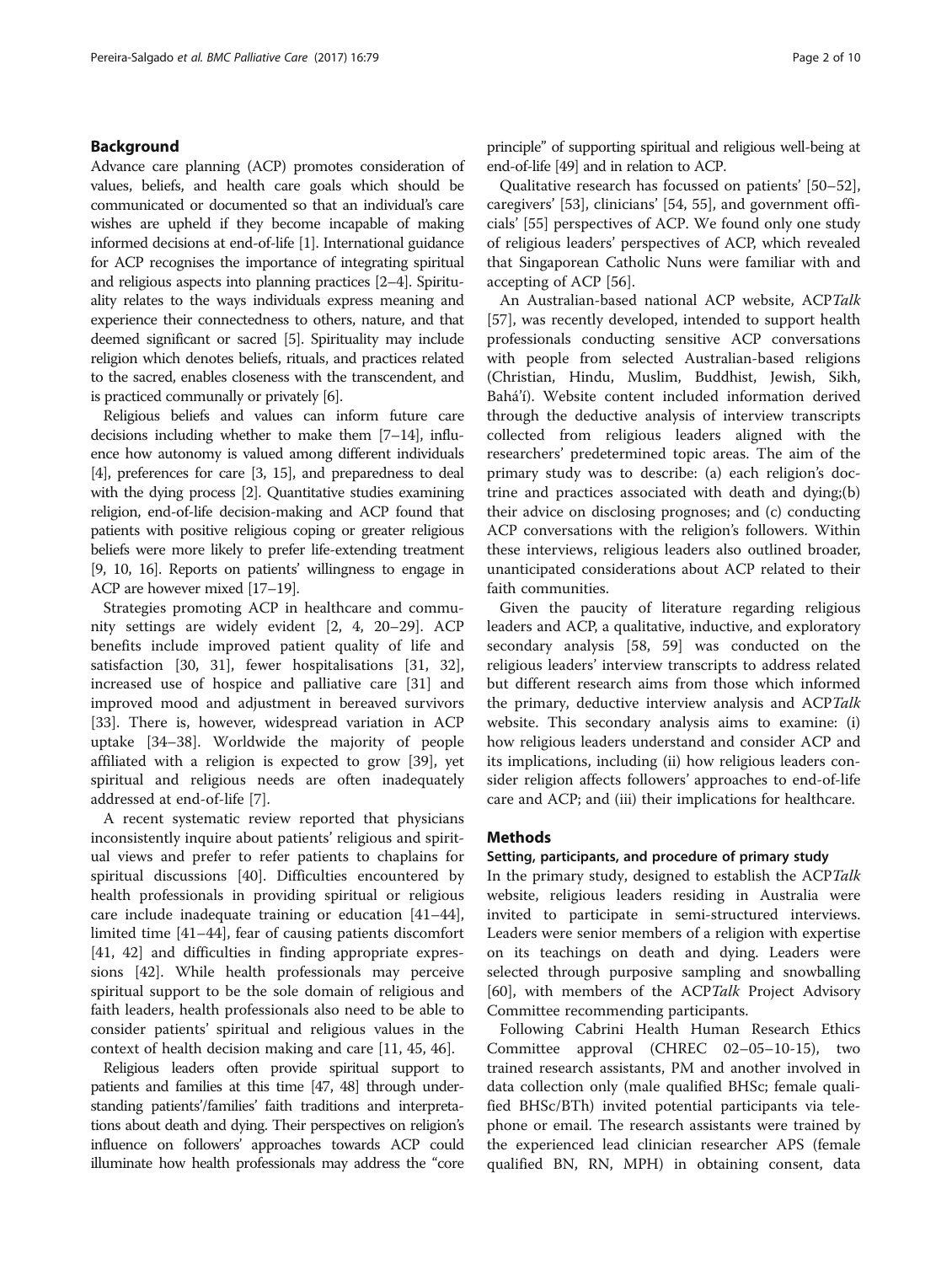## Background

Advance care planning (ACP) promotes consideration of values, beliefs, and health care goals which should be communicated or documented so that an individual's care wishes are upheld if they become incapable of making informed decisions at end-of-life [\[1\]](#page-9-0). International guidance for ACP recognises the importance of integrating spiritual and religious aspects into planning practices [[2](#page-9-0)–[4\]](#page-9-0). Spirituality relates to the ways individuals express meaning and experience their connectedness to others, nature, and that deemed significant or sacred [[5](#page-9-0)]. Spirituality may include religion which denotes beliefs, rituals, and practices related to the sacred, enables closeness with the transcendent, and is practiced communally or privately [[6](#page-9-0)].

Religious beliefs and values can inform future care decisions including whether to make them [\[7](#page-10-0)–[14\]](#page-10-0), influence how autonomy is valued among different individuals [[4](#page-9-0)], preferences for care [\[3,](#page-9-0) [15\]](#page-10-0), and preparedness to deal with the dying process [\[2\]](#page-9-0). Quantitative studies examining religion, end-of-life decision-making and ACP found that patients with positive religious coping or greater religious beliefs were more likely to prefer life-extending treatment [[9](#page-10-0), [10](#page-10-0), [16](#page-10-0)]. Reports on patients' willingness to engage in ACP are however mixed [\[17](#page-10-0)–[19](#page-10-0)].

Strategies promoting ACP in healthcare and community settings are widely evident [\[2, 4,](#page-9-0) [20](#page-10-0)–[29\]](#page-10-0). ACP benefits include improved patient quality of life and satisfaction [[30](#page-10-0), [31](#page-10-0)], fewer hospitalisations [\[31](#page-10-0), [32](#page-10-0)], increased use of hospice and palliative care [\[31\]](#page-10-0) and improved mood and adjustment in bereaved survivors [[33\]](#page-10-0). There is, however, widespread variation in ACP uptake [[34](#page-10-0)–[38](#page-10-0)]. Worldwide the majority of people affiliated with a religion is expected to grow [[39](#page-10-0)], yet spiritual and religious needs are often inadequately addressed at end-of-life [[7\]](#page-10-0).

A recent systematic review reported that physicians inconsistently inquire about patients' religious and spiritual views and prefer to refer patients to chaplains for spiritual discussions [[40](#page-10-0)]. Difficulties encountered by health professionals in providing spiritual or religious care include inadequate training or education [[41](#page-10-0)–[44](#page-10-0)], limited time [\[41](#page-10-0)–[44\]](#page-10-0), fear of causing patients discomfort [[41, 42\]](#page-10-0) and difficulties in finding appropriate expressions [\[42](#page-10-0)]. While health professionals may perceive spiritual support to be the sole domain of religious and faith leaders, health professionals also need to be able to consider patients' spiritual and religious values in the context of health decision making and care [[11, 45, 46](#page-10-0)].

Religious leaders often provide spiritual support to patients and families at this time [\[47, 48](#page-10-0)] through understanding patients'/families' faith traditions and interpretations about death and dying. Their perspectives on religion's influence on followers' approaches towards ACP could illuminate how health professionals may address the "core principle" of supporting spiritual and religious well-being at end-of-life [\[49](#page-10-0)] and in relation to ACP.

Qualitative research has focussed on patients' [[50](#page-10-0)–[52](#page-10-0)], caregivers' [\[53](#page-10-0)], clinicians' [[54, 55\]](#page-10-0), and government officials' [[55](#page-10-0)] perspectives of ACP. We found only one study of religious leaders' perspectives of ACP, which revealed that Singaporean Catholic Nuns were familiar with and accepting of ACP [\[56](#page-10-0)].

An Australian-based national ACP website, ACPTalk [[57\]](#page-10-0), was recently developed, intended to support health professionals conducting sensitive ACP conversations with people from selected Australian-based religions (Christian, Hindu, Muslim, Buddhist, Jewish, Sikh, Bahá'í). Website content included information derived through the deductive analysis of interview transcripts collected from religious leaders aligned with the researchers' predetermined topic areas. The aim of the primary study was to describe: (a) each religion's doctrine and practices associated with death and dying;(b) their advice on disclosing prognoses; and (c) conducting ACP conversations with the religion's followers. Within these interviews, religious leaders also outlined broader, unanticipated considerations about ACP related to their faith communities.

Given the paucity of literature regarding religious leaders and ACP, a qualitative, inductive, and exploratory secondary analysis [\[58, 59](#page-11-0)] was conducted on the religious leaders' interview transcripts to address related but different research aims from those which informed the primary, deductive interview analysis and ACPTalk website. This secondary analysis aims to examine: (i) how religious leaders understand and consider ACP and its implications, including (ii) how religious leaders consider religion affects followers' approaches to end-of-life care and ACP; and (iii) their implications for healthcare.

#### Methods

## Setting, participants, and procedure of primary study

In the primary study, designed to establish the ACPTalk website, religious leaders residing in Australia were invited to participate in semi-structured interviews. Leaders were senior members of a religion with expertise on its teachings on death and dying. Leaders were selected through purposive sampling and snowballing [[60\]](#page-11-0), with members of the ACPTalk Project Advisory Committee recommending participants.

Following Cabrini Health Human Research Ethics Committee approval (CHREC 02–05–10-15), two trained research assistants, PM and another involved in data collection only (male qualified BHSc; female qualified BHSc/BTh) invited potential participants via telephone or email. The research assistants were trained by the experienced lead clinician researcher APS (female qualified BN, RN, MPH) in obtaining consent, data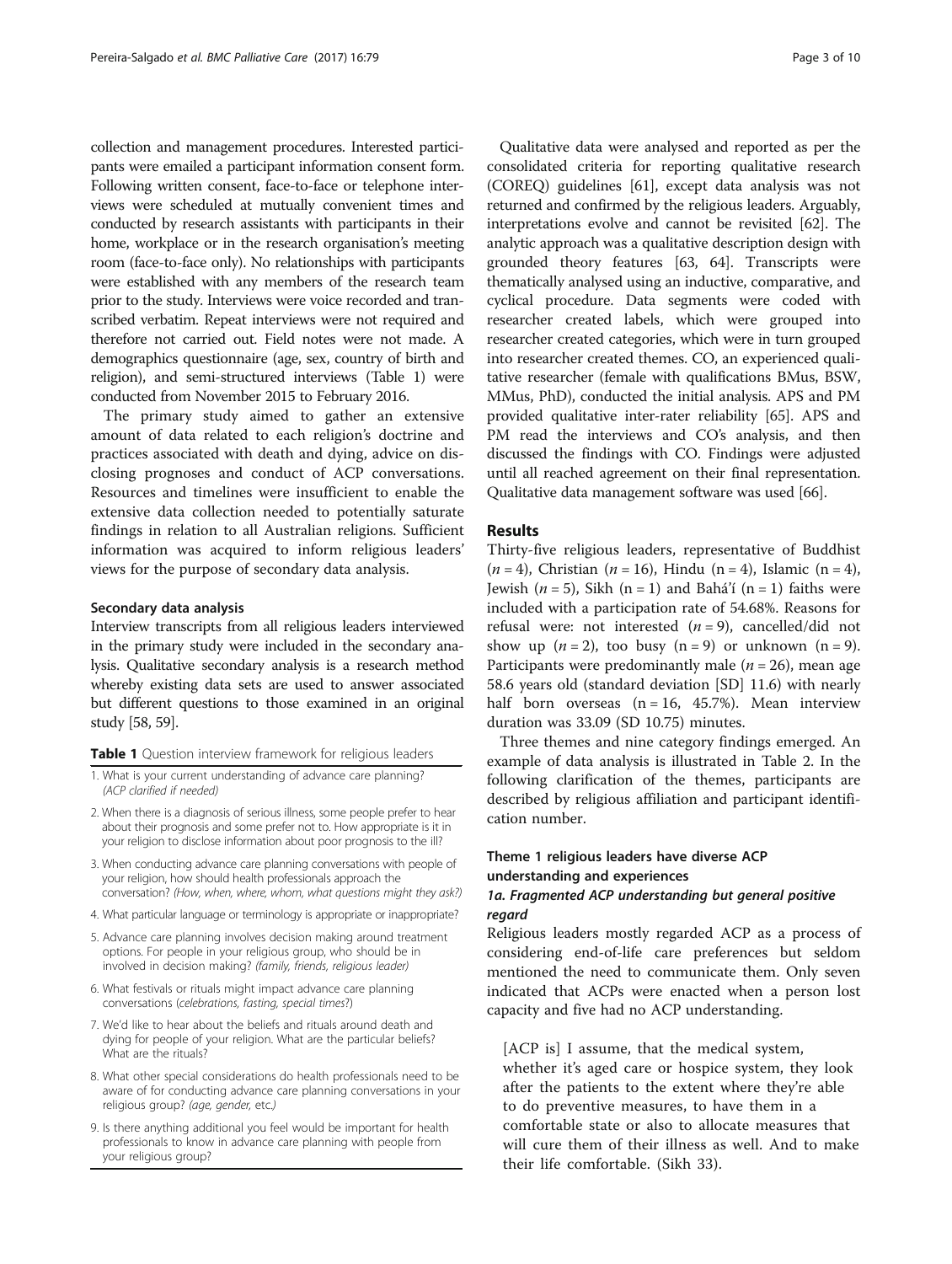collection and management procedures. Interested participants were emailed a participant information consent form. Following written consent, face-to-face or telephone interviews were scheduled at mutually convenient times and conducted by research assistants with participants in their home, workplace or in the research organisation's meeting room (face-to-face only). No relationships with participants were established with any members of the research team prior to the study. Interviews were voice recorded and transcribed verbatim. Repeat interviews were not required and therefore not carried out. Field notes were not made. A demographics questionnaire (age, sex, country of birth and religion), and semi-structured interviews (Table 1) were conducted from November 2015 to February 2016.

The primary study aimed to gather an extensive amount of data related to each religion's doctrine and practices associated with death and dying, advice on disclosing prognoses and conduct of ACP conversations. Resources and timelines were insufficient to enable the extensive data collection needed to potentially saturate findings in relation to all Australian religions. Sufficient information was acquired to inform religious leaders' views for the purpose of secondary data analysis.

#### Secondary data analysis

Interview transcripts from all religious leaders interviewed in the primary study were included in the secondary analysis. Qualitative secondary analysis is a research method whereby existing data sets are used to answer associated but different questions to those examined in an original study [\[58, 59\]](#page-11-0).

Table 1 Question interview framework for religious leaders

- 1. What is your current understanding of advance care planning? (ACP clarified if needed)
- 2. When there is a diagnosis of serious illness, some people prefer to hear about their prognosis and some prefer not to. How appropriate is it in your religion to disclose information about poor prognosis to the ill?
- 3. When conducting advance care planning conversations with people of your religion, how should health professionals approach the conversation? (How, when, where, whom, what questions might they ask?)
- 4. What particular language or terminology is appropriate or inappropriate?
- 5. Advance care planning involves decision making around treatment options. For people in your religious group, who should be in involved in decision making? (family, friends, religious leader)
- 6. What festivals or rituals might impact advance care planning conversations (celebrations, fasting, special times?)
- 7. We'd like to hear about the beliefs and rituals around death and dying for people of your religion. What are the particular beliefs? What are the rituals?
- 8. What other special considerations do health professionals need to be aware of for conducting advance care planning conversations in your religious group? (age, gender, etc.)
- 9. Is there anything additional you feel would be important for health professionals to know in advance care planning with people from your religious group?

Qualitative data were analysed and reported as per the consolidated criteria for reporting qualitative research (COREQ) guidelines [\[61\]](#page-11-0), except data analysis was not returned and confirmed by the religious leaders. Arguably, interpretations evolve and cannot be revisited [\[62](#page-11-0)]. The analytic approach was a qualitative description design with grounded theory features [\[63, 64\]](#page-11-0). Transcripts were thematically analysed using an inductive, comparative, and cyclical procedure. Data segments were coded with researcher created labels, which were grouped into researcher created categories, which were in turn grouped into researcher created themes. CO, an experienced qualitative researcher (female with qualifications BMus, BSW, MMus, PhD), conducted the initial analysis. APS and PM provided qualitative inter-rater reliability [[65](#page-11-0)]. APS and PM read the interviews and CO's analysis, and then discussed the findings with CO. Findings were adjusted until all reached agreement on their final representation. Qualitative data management software was used [[66](#page-11-0)].

## Results

Thirty-five religious leaders, representative of Buddhist  $(n = 4)$ , Christian  $(n = 16)$ , Hindu  $(n = 4)$ , Islamic  $(n = 4)$ , Jewish  $(n = 5)$ , Sikh  $(n = 1)$  and Bahá'í  $(n = 1)$  faiths were included with a participation rate of 54.68%. Reasons for refusal were: not interested  $(n = 9)$ , cancelled/did not show up  $(n = 2)$ , too busy  $(n = 9)$  or unknown  $(n = 9)$ . Participants were predominantly male ( $n = 26$ ), mean age 58.6 years old (standard deviation [SD] 11.6) with nearly half born overseas  $(n = 16, 45.7\%)$ . Mean interview duration was 33.09 (SD 10.75) minutes.

Three themes and nine category findings emerged. An example of data analysis is illustrated in Table [2](#page-5-0). In the following clarification of the themes, participants are described by religious affiliation and participant identification number.

# Theme 1 religious leaders have diverse ACP understanding and experiences

# 1a. Fragmented ACP understanding but general positive regard

Religious leaders mostly regarded ACP as a process of considering end-of-life care preferences but seldom mentioned the need to communicate them. Only seven indicated that ACPs were enacted when a person lost capacity and five had no ACP understanding.

[ACP is] I assume, that the medical system,

whether it's aged care or hospice system, they look after the patients to the extent where they're able to do preventive measures, to have them in a comfortable state or also to allocate measures that will cure them of their illness as well. And to make their life comfortable. (Sikh 33).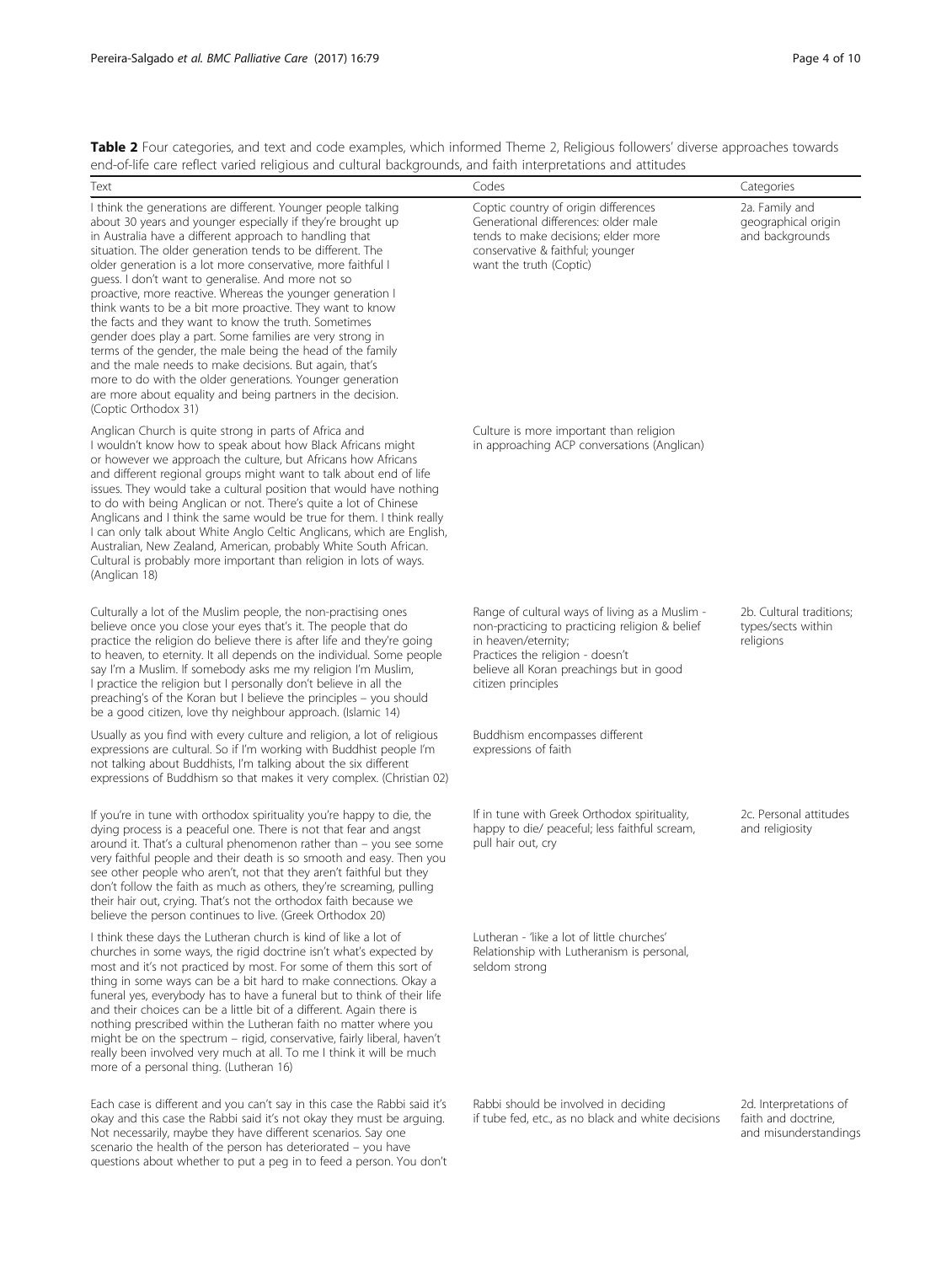<span id="page-5-0"></span>Table 2 Four categories, and text and code examples, which informed Theme 2, Religious followers' diverse approaches towards end-of-life care reflect varied religious and cultural backgrounds, and faith interpretations and attitudes

| Text                                                                                                                                                                                                                                                                                                                                                                                                                                                                                                                                                                                                                                                                                                                                                                                                                                                                                                     | Codes                                                                                                                                                                                                                         | Categories                                                             |
|----------------------------------------------------------------------------------------------------------------------------------------------------------------------------------------------------------------------------------------------------------------------------------------------------------------------------------------------------------------------------------------------------------------------------------------------------------------------------------------------------------------------------------------------------------------------------------------------------------------------------------------------------------------------------------------------------------------------------------------------------------------------------------------------------------------------------------------------------------------------------------------------------------|-------------------------------------------------------------------------------------------------------------------------------------------------------------------------------------------------------------------------------|------------------------------------------------------------------------|
| I think the generations are different. Younger people talking<br>about 30 years and younger especially if they're brought up<br>in Australia have a different approach to handling that<br>situation. The older generation tends to be different. The<br>older generation is a lot more conservative, more faithful I<br>guess. I don't want to generalise. And more not so<br>proactive, more reactive. Whereas the younger generation I<br>think wants to be a bit more proactive. They want to know<br>the facts and they want to know the truth. Sometimes<br>gender does play a part. Some families are very strong in<br>terms of the gender, the male being the head of the family<br>and the male needs to make decisions. But again, that's<br>more to do with the older generations. Younger generation<br>are more about equality and being partners in the decision.<br>(Coptic Orthodox 31) | Coptic country of origin differences<br>Generational differences: older male<br>tends to make decisions; elder more<br>conservative & faithful; younger<br>want the truth (Coptic)                                            | 2a. Family and<br>geographical origin<br>and backgrounds               |
| Anglican Church is quite strong in parts of Africa and<br>I wouldn't know how to speak about how Black Africans might<br>or however we approach the culture, but Africans how Africans<br>and different regional groups might want to talk about end of life<br>issues. They would take a cultural position that would have nothing<br>to do with being Anglican or not. There's quite a lot of Chinese<br>Anglicans and I think the same would be true for them. I think really<br>I can only talk about White Anglo Celtic Anglicans, which are English,<br>Australian, New Zealand, American, probably White South African.<br>Cultural is probably more important than religion in lots of ways.<br>(Anglican 18)                                                                                                                                                                                    | Culture is more important than religion<br>in approaching ACP conversations (Anglican)                                                                                                                                        |                                                                        |
| Culturally a lot of the Muslim people, the non-practising ones<br>believe once you close your eyes that's it. The people that do<br>practice the religion do believe there is after life and they're going<br>to heaven, to eternity. It all depends on the individual. Some people<br>say I'm a Muslim. If somebody asks me my religion I'm Muslim,<br>I practice the religion but I personally don't believe in all the<br>preaching's of the Koran but I believe the principles - you should<br>be a good citizen, love thy neighbour approach. (Islamic 14)                                                                                                                                                                                                                                                                                                                                          | Range of cultural ways of living as a Muslim -<br>non-practicing to practicing religion & belief<br>in heaven/eternity;<br>Practices the religion - doesn't<br>believe all Koran preachings but in good<br>citizen principles | 2b. Cultural traditions:<br>types/sects within<br>religions            |
| Usually as you find with every culture and religion, a lot of religious<br>expressions are cultural. So if I'm working with Buddhist people I'm<br>not talking about Buddhists, I'm talking about the six different<br>expressions of Buddhism so that makes it very complex. (Christian 02)                                                                                                                                                                                                                                                                                                                                                                                                                                                                                                                                                                                                             | Buddhism encompasses different<br>expressions of faith                                                                                                                                                                        |                                                                        |
| If you're in tune with orthodox spirituality you're happy to die, the<br>dying process is a peaceful one. There is not that fear and angst<br>around it. That's a cultural phenomenon rather than - you see some<br>very faithful people and their death is so smooth and easy. Then you<br>see other people who aren't, not that they aren't faithful but they<br>don't follow the faith as much as others, they're screaming, pulling<br>their hair out, crying. That's not the orthodox faith because we<br>believe the person continues to live. (Greek Orthodox 20)                                                                                                                                                                                                                                                                                                                                 | If in tune with Greek Orthodox spirituality,<br>happy to die/ peaceful; less faithful scream,<br>pull hair out, cry                                                                                                           | 2c. Personal attitudes<br>and religiosity                              |
| I think these days the Lutheran church is kind of like a lot of<br>churches in some ways, the rigid doctrine isn't what's expected by<br>most and it's not practiced by most. For some of them this sort of<br>thing in some ways can be a bit hard to make connections. Okay a<br>funeral yes, everybody has to have a funeral but to think of their life<br>and their choices can be a little bit of a different. Again there is<br>nothing prescribed within the Lutheran faith no matter where you<br>might be on the spectrum – rigid, conservative, fairly liberal, haven't<br>really been involved very much at all. To me I think it will be much<br>more of a personal thing. (Lutheran 16)                                                                                                                                                                                                     | Lutheran - 'like a lot of little churches'<br>Relationship with Lutheranism is personal,<br>seldom strong                                                                                                                     |                                                                        |
| Each case is different and you can't say in this case the Rabbi said it's<br>okay and this case the Rabbi said it's not okay they must be arguing.<br>Not necessarily, maybe they have different scenarios. Say one<br>scenario the health of the person has deteriorated - you have<br>questions about whether to put a peg in to feed a person. You don't                                                                                                                                                                                                                                                                                                                                                                                                                                                                                                                                              | Rabbi should be involved in deciding<br>if tube fed, etc., as no black and white decisions                                                                                                                                    | 2d. Interpretations of<br>faith and doctrine,<br>and misunderstandings |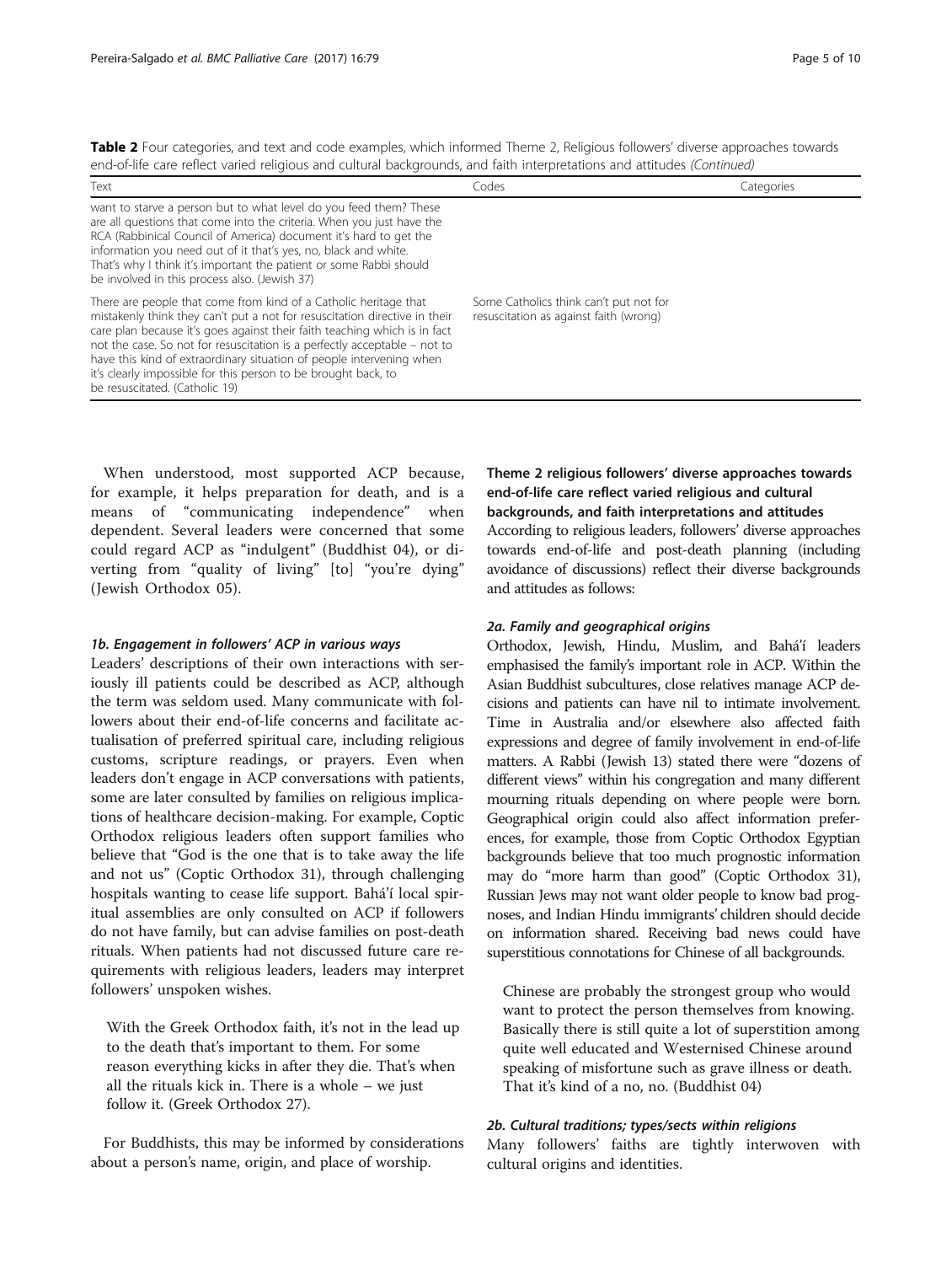Table 2 Four categories, and text and code examples, which informed Theme 2, Religious followers' diverse approaches towards end-of-life care reflect varied religious and cultural backgrounds, and faith interpretations and attitudes (Continued)

| Text                                                                                                                                                                                                                                                                                                                                                                                                                                                                                 | Codes                                                                            | Categories |
|--------------------------------------------------------------------------------------------------------------------------------------------------------------------------------------------------------------------------------------------------------------------------------------------------------------------------------------------------------------------------------------------------------------------------------------------------------------------------------------|----------------------------------------------------------------------------------|------------|
| want to starve a person but to what level do you feed them? These<br>are all questions that come into the criteria. When you just have the<br>RCA (Rabbinical Council of America) document it's hard to get the<br>information you need out of it that's yes, no, black and white.<br>That's why I think it's important the patient or some Rabbi should<br>be involved in this process also. (Jewish 37)                                                                            |                                                                                  |            |
| There are people that come from kind of a Catholic heritage that<br>mistakenly think they can't put a not for resuscitation directive in their<br>care plan because it's goes against their faith teaching which is in fact<br>not the case. So not for resuscitation is a perfectly acceptable – not to<br>have this kind of extraordinary situation of people intervening when<br>it's clearly impossible for this person to be brought back, to<br>be resuscitated. (Catholic 19) | Some Catholics think can't put not for<br>resuscitation as against faith (wrong) |            |

When understood, most supported ACP because, for example, it helps preparation for death, and is a means of "communicating independence" when dependent. Several leaders were concerned that some could regard ACP as "indulgent" (Buddhist 04), or diverting from "quality of living" [to] "you're dying" (Jewish Orthodox 05).

## 1b. Engagement in followers' ACP in various ways

Leaders' descriptions of their own interactions with seriously ill patients could be described as ACP, although the term was seldom used. Many communicate with followers about their end-of-life concerns and facilitate actualisation of preferred spiritual care, including religious customs, scripture readings, or prayers. Even when leaders don't engage in ACP conversations with patients, some are later consulted by families on religious implications of healthcare decision-making. For example, Coptic Orthodox religious leaders often support families who believe that "God is the one that is to take away the life and not us" (Coptic Orthodox 31), through challenging hospitals wanting to cease life support. Bahá'í local spiritual assemblies are only consulted on ACP if followers do not have family, but can advise families on post-death rituals. When patients had not discussed future care requirements with religious leaders, leaders may interpret followers' unspoken wishes.

With the Greek Orthodox faith, it's not in the lead up to the death that's important to them. For some reason everything kicks in after they die. That's when all the rituals kick in. There is a whole – we just follow it. (Greek Orthodox 27).

For Buddhists, this may be informed by considerations about a person's name, origin, and place of worship.

Theme 2 religious followers' diverse approaches towards end-of-life care reflect varied religious and cultural backgrounds, and faith interpretations and attitudes According to religious leaders, followers' diverse approaches towards end-of-life and post-death planning (including avoidance of discussions) reflect their diverse backgrounds and attitudes as follows:

### 2a. Family and geographical origins

Orthodox, Jewish, Hindu, Muslim, and Bahá'í leaders emphasised the family's important role in ACP. Within the Asian Buddhist subcultures, close relatives manage ACP decisions and patients can have nil to intimate involvement. Time in Australia and/or elsewhere also affected faith expressions and degree of family involvement in end-of-life matters. A Rabbi (Jewish 13) stated there were "dozens of different views" within his congregation and many different mourning rituals depending on where people were born. Geographical origin could also affect information preferences, for example, those from Coptic Orthodox Egyptian backgrounds believe that too much prognostic information may do "more harm than good" (Coptic Orthodox 31), Russian Jews may not want older people to know bad prognoses, and Indian Hindu immigrants' children should decide on information shared. Receiving bad news could have superstitious connotations for Chinese of all backgrounds.

Chinese are probably the strongest group who would want to protect the person themselves from knowing. Basically there is still quite a lot of superstition among quite well educated and Westernised Chinese around speaking of misfortune such as grave illness or death. That it's kind of a no, no. (Buddhist 04)

# 2b. Cultural traditions; types/sects within religions

Many followers' faiths are tightly interwoven with cultural origins and identities.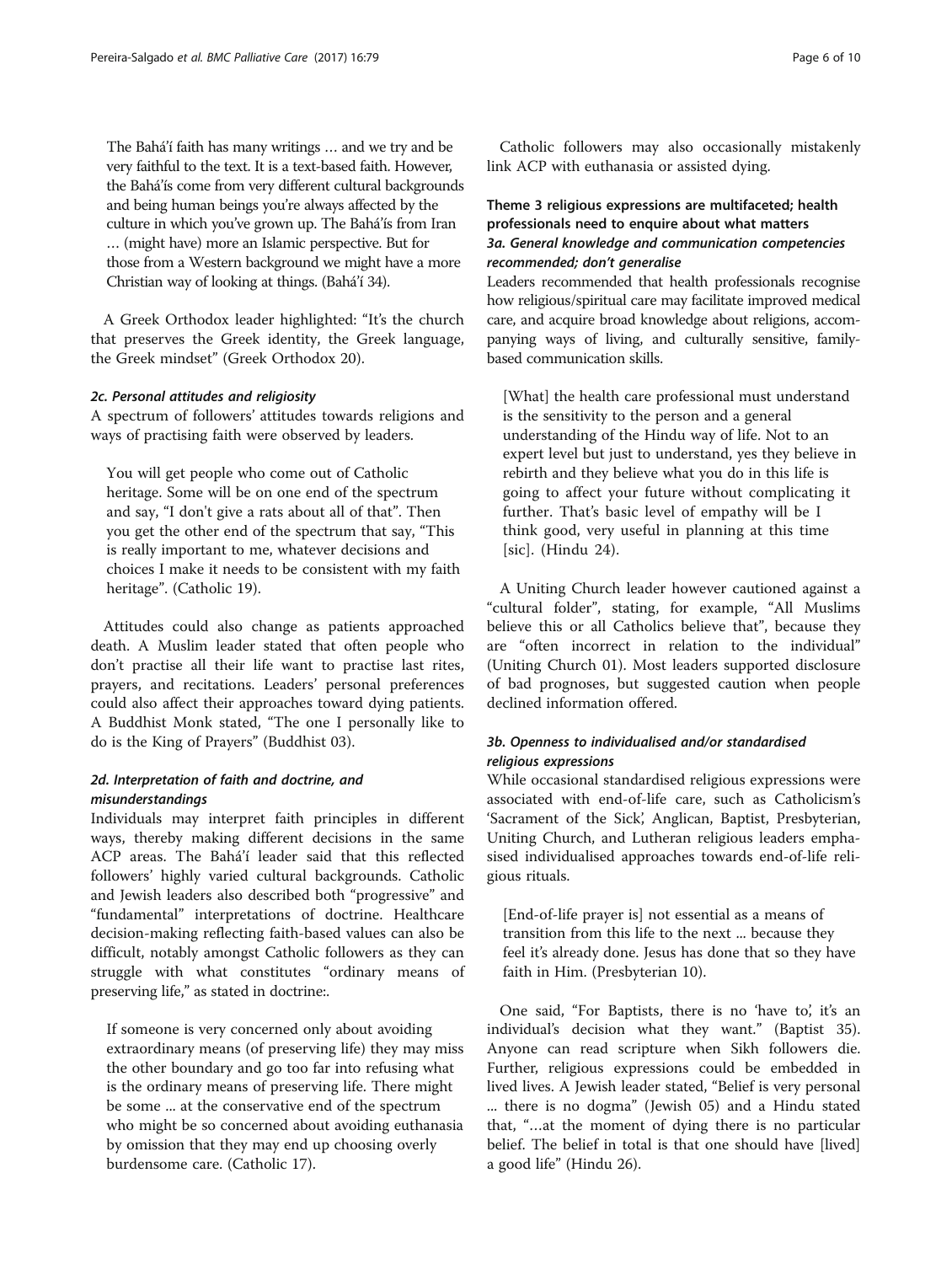The Bahá'í faith has many writings … and we try and be very faithful to the text. It is a text-based faith. However, the Bahá'ís come from very different cultural backgrounds and being human beings you're always affected by the culture in which you've grown up. The Bahá'ís from Iran … (might have) more an Islamic perspective. But for those from a Western background we might have a more Christian way of looking at things. (Bahá'í 34).

A Greek Orthodox leader highlighted: "It's the church that preserves the Greek identity, the Greek language, the Greek mindset" (Greek Orthodox 20).

## 2c. Personal attitudes and religiosity

A spectrum of followers' attitudes towards religions and ways of practising faith were observed by leaders.

You will get people who come out of Catholic heritage. Some will be on one end of the spectrum and say, "I don't give a rats about all of that". Then you get the other end of the spectrum that say, "This is really important to me, whatever decisions and choices I make it needs to be consistent with my faith heritage". (Catholic 19).

Attitudes could also change as patients approached death. A Muslim leader stated that often people who don't practise all their life want to practise last rites, prayers, and recitations. Leaders' personal preferences could also affect their approaches toward dying patients. A Buddhist Monk stated, "The one I personally like to do is the King of Prayers" (Buddhist 03).

## 2d. Interpretation of faith and doctrine, and misunderstandings

Individuals may interpret faith principles in different ways, thereby making different decisions in the same ACP areas. The Bahá'í leader said that this reflected followers' highly varied cultural backgrounds. Catholic and Jewish leaders also described both "progressive" and "fundamental" interpretations of doctrine. Healthcare decision-making reflecting faith-based values can also be difficult, notably amongst Catholic followers as they can struggle with what constitutes "ordinary means of preserving life," as stated in doctrine:.

If someone is very concerned only about avoiding extraordinary means (of preserving life) they may miss the other boundary and go too far into refusing what is the ordinary means of preserving life. There might be some ... at the conservative end of the spectrum who might be so concerned about avoiding euthanasia by omission that they may end up choosing overly burdensome care. (Catholic 17).

Catholic followers may also occasionally mistakenly link ACP with euthanasia or assisted dying.

# Theme 3 religious expressions are multifaceted; health professionals need to enquire about what matters 3a. General knowledge and communication competencies recommended; don't generalise

Leaders recommended that health professionals recognise how religious/spiritual care may facilitate improved medical care, and acquire broad knowledge about religions, accompanying ways of living, and culturally sensitive, familybased communication skills.

[What] the health care professional must understand is the sensitivity to the person and a general understanding of the Hindu way of life. Not to an expert level but just to understand, yes they believe in rebirth and they believe what you do in this life is going to affect your future without complicating it further. That's basic level of empathy will be I think good, very useful in planning at this time [sic]. (Hindu 24).

A Uniting Church leader however cautioned against a "cultural folder", stating, for example, "All Muslims believe this or all Catholics believe that", because they are "often incorrect in relation to the individual" (Uniting Church 01). Most leaders supported disclosure of bad prognoses, but suggested caution when people declined information offered.

# 3b. Openness to individualised and/or standardised religious expressions

While occasional standardised religious expressions were associated with end-of-life care, such as Catholicism's 'Sacrament of the Sick', Anglican, Baptist, Presbyterian, Uniting Church, and Lutheran religious leaders emphasised individualised approaches towards end-of-life religious rituals.

[End-of-life prayer is] not essential as a means of transition from this life to the next ... because they feel it's already done. Jesus has done that so they have faith in Him. (Presbyterian 10).

One said, "For Baptists, there is no 'have to', it's an individual's decision what they want." (Baptist 35). Anyone can read scripture when Sikh followers die. Further, religious expressions could be embedded in lived lives. A Jewish leader stated, "Belief is very personal ... there is no dogma" (Jewish 05) and a Hindu stated that, "…at the moment of dying there is no particular belief. The belief in total is that one should have [lived] a good life" (Hindu 26).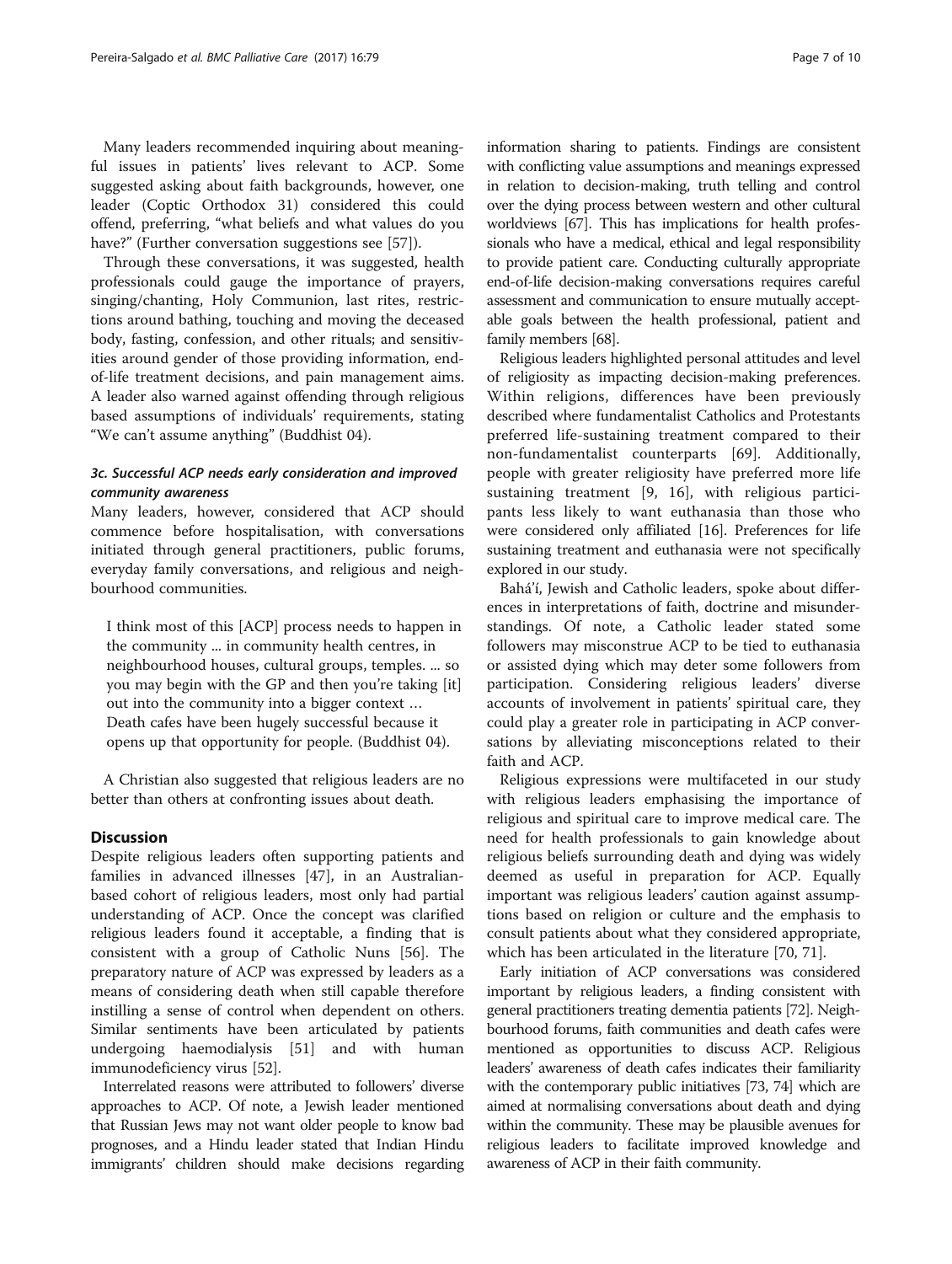Many leaders recommended inquiring about meaningful issues in patients' lives relevant to ACP. Some suggested asking about faith backgrounds, however, one leader (Coptic Orthodox 31) considered this could offend, preferring, "what beliefs and what values do you have?" (Further conversation suggestions see [[57](#page-10-0)]).

Through these conversations, it was suggested, health professionals could gauge the importance of prayers, singing/chanting, Holy Communion, last rites, restrictions around bathing, touching and moving the deceased body, fasting, confession, and other rituals; and sensitivities around gender of those providing information, endof-life treatment decisions, and pain management aims. A leader also warned against offending through religious based assumptions of individuals' requirements, stating "We can't assume anything" (Buddhist 04).

## 3c. Successful ACP needs early consideration and improved community awareness

Many leaders, however, considered that ACP should commence before hospitalisation, with conversations initiated through general practitioners, public forums, everyday family conversations, and religious and neighbourhood communities.

I think most of this [ACP] process needs to happen in the community ... in community health centres, in neighbourhood houses, cultural groups, temples. ... so you may begin with the GP and then you're taking [it] out into the community into a bigger context … Death cafes have been hugely successful because it opens up that opportunity for people. (Buddhist 04).

A Christian also suggested that religious leaders are no better than others at confronting issues about death.

#### **Discussion**

Despite religious leaders often supporting patients and families in advanced illnesses [[47\]](#page-10-0), in an Australianbased cohort of religious leaders, most only had partial understanding of ACP. Once the concept was clarified religious leaders found it acceptable, a finding that is consistent with a group of Catholic Nuns [\[56](#page-10-0)]. The preparatory nature of ACP was expressed by leaders as a means of considering death when still capable therefore instilling a sense of control when dependent on others. Similar sentiments have been articulated by patients undergoing haemodialysis [\[51](#page-10-0)] and with human immunodeficiency virus [[52\]](#page-10-0).

Interrelated reasons were attributed to followers' diverse approaches to ACP. Of note, a Jewish leader mentioned that Russian Jews may not want older people to know bad prognoses, and a Hindu leader stated that Indian Hindu immigrants' children should make decisions regarding

information sharing to patients. Findings are consistent with conflicting value assumptions and meanings expressed in relation to decision-making, truth telling and control over the dying process between western and other cultural worldviews [\[67](#page-11-0)]. This has implications for health professionals who have a medical, ethical and legal responsibility to provide patient care. Conducting culturally appropriate end-of-life decision-making conversations requires careful assessment and communication to ensure mutually acceptable goals between the health professional, patient and family members [\[68\]](#page-11-0).

Religious leaders highlighted personal attitudes and level of religiosity as impacting decision-making preferences. Within religions, differences have been previously described where fundamentalist Catholics and Protestants preferred life-sustaining treatment compared to their non-fundamentalist counterparts [[69\]](#page-11-0). Additionally, people with greater religiosity have preferred more life sustaining treatment [[9](#page-10-0), [16\]](#page-10-0), with religious participants less likely to want euthanasia than those who were considered only affiliated [\[16\]](#page-10-0). Preferences for life sustaining treatment and euthanasia were not specifically explored in our study.

Bahá'í, Jewish and Catholic leaders, spoke about differences in interpretations of faith, doctrine and misunderstandings. Of note, a Catholic leader stated some followers may misconstrue ACP to be tied to euthanasia or assisted dying which may deter some followers from participation. Considering religious leaders' diverse accounts of involvement in patients' spiritual care, they could play a greater role in participating in ACP conversations by alleviating misconceptions related to their faith and ACP.

Religious expressions were multifaceted in our study with religious leaders emphasising the importance of religious and spiritual care to improve medical care. The need for health professionals to gain knowledge about religious beliefs surrounding death and dying was widely deemed as useful in preparation for ACP. Equally important was religious leaders' caution against assumptions based on religion or culture and the emphasis to consult patients about what they considered appropriate, which has been articulated in the literature [\[70](#page-11-0), [71\]](#page-11-0).

Early initiation of ACP conversations was considered important by religious leaders, a finding consistent with general practitioners treating dementia patients [[72\]](#page-11-0). Neighbourhood forums, faith communities and death cafes were mentioned as opportunities to discuss ACP. Religious leaders' awareness of death cafes indicates their familiarity with the contemporary public initiatives [\[73, 74\]](#page-11-0) which are aimed at normalising conversations about death and dying within the community. These may be plausible avenues for religious leaders to facilitate improved knowledge and awareness of ACP in their faith community.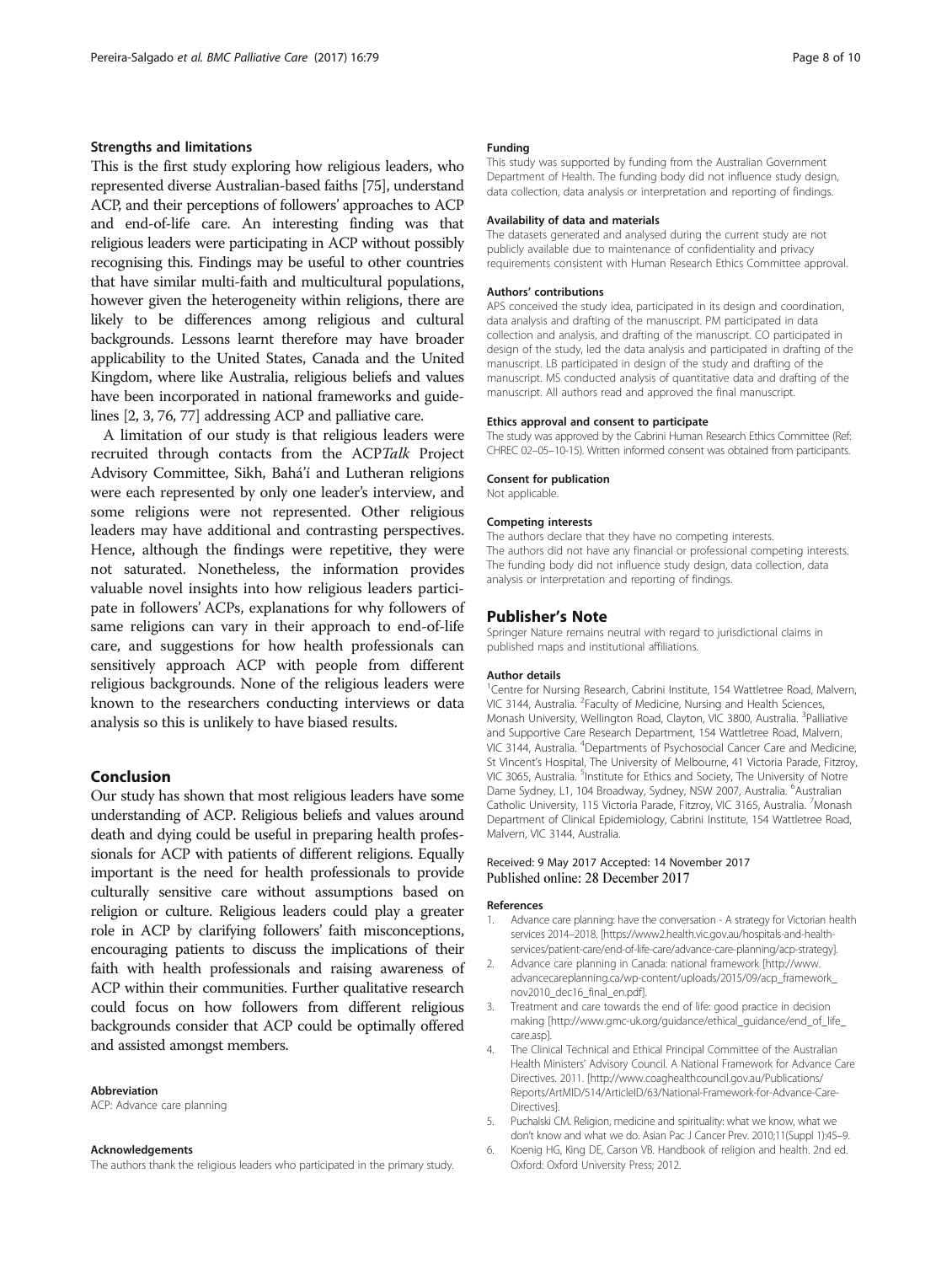### <span id="page-9-0"></span>Strengths and limitations

This is the first study exploring how religious leaders, who represented diverse Australian-based faiths [\[75\]](#page-11-0), understand ACP, and their perceptions of followers' approaches to ACP and end-of-life care. An interesting finding was that religious leaders were participating in ACP without possibly recognising this. Findings may be useful to other countries that have similar multi-faith and multicultural populations, however given the heterogeneity within religions, there are likely to be differences among religious and cultural backgrounds. Lessons learnt therefore may have broader applicability to the United States, Canada and the United Kingdom, where like Australia, religious beliefs and values have been incorporated in national frameworks and guidelines [2, 3, [76](#page-11-0), [77](#page-11-0)] addressing ACP and palliative care.

A limitation of our study is that religious leaders were recruited through contacts from the ACPTalk Project Advisory Committee, Sikh, Bahá'í and Lutheran religions were each represented by only one leader's interview, and some religions were not represented. Other religious leaders may have additional and contrasting perspectives. Hence, although the findings were repetitive, they were not saturated. Nonetheless, the information provides valuable novel insights into how religious leaders participate in followers' ACPs, explanations for why followers of same religions can vary in their approach to end-of-life care, and suggestions for how health professionals can sensitively approach ACP with people from different religious backgrounds. None of the religious leaders were known to the researchers conducting interviews or data analysis so this is unlikely to have biased results.

### Conclusion

Our study has shown that most religious leaders have some understanding of ACP. Religious beliefs and values around death and dying could be useful in preparing health professionals for ACP with patients of different religions. Equally important is the need for health professionals to provide culturally sensitive care without assumptions based on religion or culture. Religious leaders could play a greater role in ACP by clarifying followers' faith misconceptions, encouraging patients to discuss the implications of their faith with health professionals and raising awareness of ACP within their communities. Further qualitative research could focus on how followers from different religious backgrounds consider that ACP could be optimally offered and assisted amongst members.

#### Abbreviation

ACP: Advance care planning

#### Acknowledgements

The authors thank the religious leaders who participated in the primary study.

#### Funding

This study was supported by funding from the Australian Government Department of Health. The funding body did not influence study design, data collection, data analysis or interpretation and reporting of findings.

#### Availability of data and materials

The datasets generated and analysed during the current study are not publicly available due to maintenance of confidentiality and privacy requirements consistent with Human Research Ethics Committee approval.

#### Authors' contributions

APS conceived the study idea, participated in its design and coordination, data analysis and drafting of the manuscript. PM participated in data collection and analysis, and drafting of the manuscript. CO participated in design of the study, led the data analysis and participated in drafting of the manuscript. LB participated in design of the study and drafting of the manuscript. MS conducted analysis of quantitative data and drafting of the manuscript. All authors read and approved the final manuscript.

#### Ethics approval and consent to participate

The study was approved by the Cabrini Human Research Ethics Committee (Ref: CHREC 02–05–10-15). Written informed consent was obtained from participants.

#### Consent for publication

Not applicable.

#### Competing interests

The authors declare that they have no competing interests. The authors did not have any financial or professional competing interests. The funding body did not influence study design, data collection, data analysis or interpretation and reporting of findings.

#### Publisher's Note

Springer Nature remains neutral with regard to jurisdictional claims in published maps and institutional affiliations.

#### Author details

<sup>1</sup> Centre for Nursing Research, Cabrini Institute, 154 Wattletree Road, Malvern, VIC 3144, Australia. <sup>2</sup> Faculty of Medicine, Nursing and Health Sciences Monash University, Wellington Road, Clayton, VIC 3800, Australia. <sup>3</sup>Palliative and Supportive Care Research Department, 154 Wattletree Road, Malvern, VIC 3144, Australia. <sup>4</sup>Departments of Psychosocial Cancer Care and Medicine, St Vincent's Hospital, The University of Melbourne, 41 Victoria Parade, Fitzroy, VIC 3065, Australia. <sup>5</sup>Institute for Ethics and Society, The University of Notre Dame Sydney, L1, 104 Broadway, Sydney, NSW 2007, Australia. <sup>6</sup>Australian Catholic University, 115 Victoria Parade, Fitzroy, VIC 3165, Australia. 7Monash Department of Clinical Epidemiology, Cabrini Institute, 154 Wattletree Road, Malvern, VIC 3144, Australia.

#### Received: 9 May 2017 Accepted: 14 November 2017 Published online: 28 December 2017

#### References

- 1. Advance care planning: have the conversation A strategy for Victorian health services 2014–2018. [[https://www2.health.vic.gov.au/hospitals-and-health](https://www2.health.vic.gov.au/hospitals-and-health-services/patient-care/end-of-life-care/advance-care-planning/acp-strategy)[services/patient-care/end-of-life-care/advance-care-planning/acp-strategy](https://www2.health.vic.gov.au/hospitals-and-health-services/patient-care/end-of-life-care/advance-care-planning/acp-strategy)].
- 2. Advance care planning in Canada: national framework [\[http://www.](http://www.advancecareplanning.ca/wp-content/uploads/2015/09/acp_framework_nov2010_dec16_final_en.pdf) [advancecareplanning.ca/wp-content/uploads/2015/09/acp\\_framework\\_](http://www.advancecareplanning.ca/wp-content/uploads/2015/09/acp_framework_nov2010_dec16_final_en.pdf) [nov2010\\_dec16\\_final\\_en.pdf\]](http://www.advancecareplanning.ca/wp-content/uploads/2015/09/acp_framework_nov2010_dec16_final_en.pdf).
- 3. Treatment and care towards the end of life: good practice in decision making [[http://www.gmc-uk.org/guidance/ethical\\_guidance/end\\_of\\_life\\_](http://www.gmc-uk.org/guidance/ethical_guidance/end_of_life_care.asp) [care.asp](http://www.gmc-uk.org/guidance/ethical_guidance/end_of_life_care.asp)].
- 4. The Clinical Technical and Ethical Principal Committee of the Australian Health Ministers' Advisory Council. A National Framework for Advance Care Directives. 2011. [\[http://www.coaghealthcouncil.gov.au/Publications/](http://www.coaghealthcouncil.gov.au/Publications/Reports/ArtMID/514/ArticleID/63/National-Framework-for-Advance-Care-Directives) [Reports/ArtMID/514/ArticleID/63/National-Framework-for-Advance-Care-](http://www.coaghealthcouncil.gov.au/Publications/Reports/ArtMID/514/ArticleID/63/National-Framework-for-Advance-Care-Directives)[Directives](http://www.coaghealthcouncil.gov.au/Publications/Reports/ArtMID/514/ArticleID/63/National-Framework-for-Advance-Care-Directives)].
- 5. Puchalski CM. Religion, medicine and spirituality: what we know, what we don't know and what we do. Asian Pac J Cancer Prev. 2010;11(Suppl 1):45–9.
- 6. Koenig HG, King DE, Carson VB. Handbook of religion and health. 2nd ed. Oxford: Oxford University Press; 2012.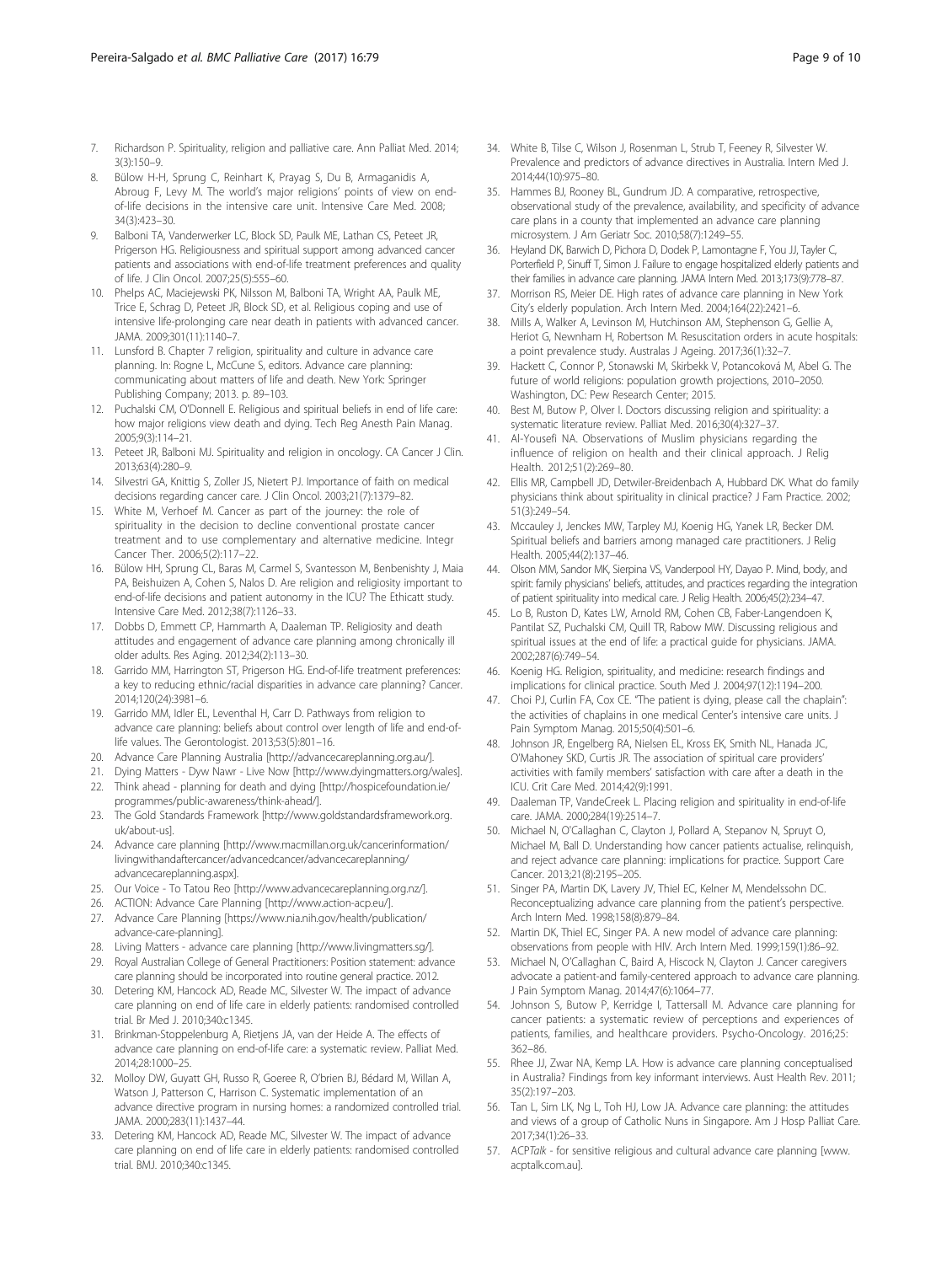- <span id="page-10-0"></span>7. Richardson P. Spirituality, religion and palliative care. Ann Palliat Med. 2014; 3(3):150–9.
- 8. Bülow H-H, Sprung C, Reinhart K, Prayag S, Du B, Armaganidis A, Abroug F, Levy M. The world's major religions' points of view on endof-life decisions in the intensive care unit. Intensive Care Med. 2008; 34(3):423–30.
- Balboni TA, Vanderwerker LC, Block SD, Paulk ME, Lathan CS, Peteet JR, Prigerson HG. Religiousness and spiritual support among advanced cancer patients and associations with end-of-life treatment preferences and quality of life. J Clin Oncol. 2007;25(5):555–60.
- 10. Phelps AC, Maciejewski PK, Nilsson M, Balboni TA, Wright AA, Paulk ME, Trice E, Schrag D, Peteet JR, Block SD, et al. Religious coping and use of intensive life-prolonging care near death in patients with advanced cancer. JAMA. 2009;301(11):1140–7.
- 11. Lunsford B. Chapter 7 religion, spirituality and culture in advance care planning. In: Rogne L, McCune S, editors. Advance care planning: communicating about matters of life and death. New York: Springer Publishing Company; 2013. p. 89–103.
- 12. Puchalski CM, O'Donnell E. Religious and spiritual beliefs in end of life care: how major religions view death and dying. Tech Reg Anesth Pain Manag. 2005;9(3):114–21.
- 13. Peteet JR, Balboni MJ. Spirituality and religion in oncology. CA Cancer J Clin. 2013;63(4):280–9.
- 14. Silvestri GA, Knittig S, Zoller JS, Nietert PJ. Importance of faith on medical decisions regarding cancer care. J Clin Oncol. 2003;21(7):1379–82.
- 15. White M, Verhoef M. Cancer as part of the journey: the role of spirituality in the decision to decline conventional prostate cancer treatment and to use complementary and alternative medicine. Integr Cancer Ther. 2006;5(2):117–22.
- 16. Bülow HH, Sprung CL, Baras M, Carmel S, Svantesson M, Benbenishty J, Maia PA, Beishuizen A, Cohen S, Nalos D. Are religion and religiosity important to end-of-life decisions and patient autonomy in the ICU? The Ethicatt study. Intensive Care Med. 2012;38(7):1126–33.
- 17. Dobbs D, Emmett CP, Hammarth A, Daaleman TP. Religiosity and death attitudes and engagement of advance care planning among chronically ill older adults. Res Aging. 2012;34(2):113–30.
- 18. Garrido MM, Harrington ST, Prigerson HG. End-of-life treatment preferences: a key to reducing ethnic/racial disparities in advance care planning? Cancer. 2014;120(24):3981–6.
- 19. Garrido MM, Idler EL, Leventhal H, Carr D. Pathways from religion to advance care planning: beliefs about control over length of life and end-oflife values. The Gerontologist. 2013;53(5):801–16.
- 20. Advance Care Planning Australia [\[http://advancecareplanning.org.au](http://advancecareplanning.org.au)/].
- 21. Dying Matters Dyw Nawr Live Now [\[http://www.dyingmatters.org/wales](http://www.dyingmatters.org/wales)].
- 22. Think ahead planning for death and dying [[http://hospicefoundation.ie/](http://hospicefoundation.ie/programmes/public-awareness/think-ahead) [programmes/public-awareness/think-ahead/](http://hospicefoundation.ie/programmes/public-awareness/think-ahead)].
- 23. The Gold Standards Framework [[http://www.goldstandardsframework.org.](http://www.goldstandardsframework.org.uk/about-us) [uk/about-us\]](http://www.goldstandardsframework.org.uk/about-us).
- 24. Advance care planning [[http://www.macmillan.org.uk/cancerinformation/](http://www.macmillan.org.uk/cancerinformation/livingwithandaftercancer/advancedcancer/advancecareplanning/advancecareplanning.aspx) [livingwithandaftercancer/advancedcancer/advancecareplanning/](http://www.macmillan.org.uk/cancerinformation/livingwithandaftercancer/advancedcancer/advancecareplanning/advancecareplanning.aspx) [advancecareplanning.aspx](http://www.macmillan.org.uk/cancerinformation/livingwithandaftercancer/advancedcancer/advancecareplanning/advancecareplanning.aspx)].
- 25. Our Voice To Tatou Reo [\[http://www.advancecareplanning.org.nz](http://www.advancecareplanning.org.nz)/].
- 26. ACTION: Advance Care Planning [<http://www.action-acp.eu>/].
- 27. Advance Care Planning [\[https://www.nia.nih.gov/health/publication/](https://www.nia.nih.gov/health/publication/advance-care-planning) [advance-care-planning\]](https://www.nia.nih.gov/health/publication/advance-care-planning).
- 28. Living Matters advance care planning [\[http://www.livingmatters.sg](http://www.livingmatters.sg)/].
- 29. Royal Australian College of General Practitioners: Position statement: advance care planning should be incorporated into routine general practice. 2012.
- 30. Detering KM, Hancock AD, Reade MC, Silvester W. The impact of advance care planning on end of life care in elderly patients: randomised controlled trial. Br Med J. 2010;340:c1345.
- 31. Brinkman-Stoppelenburg A, Rietjens JA, van der Heide A. The effects of advance care planning on end-of-life care: a systematic review. Palliat Med. 2014;28:1000–25.
- 32. Molloy DW, Guyatt GH, Russo R, Goeree R, O'brien BJ, Bédard M, Willan A, Watson J, Patterson C, Harrison C. Systematic implementation of an advance directive program in nursing homes: a randomized controlled trial. JAMA. 2000;283(11):1437–44.
- 33. Detering KM, Hancock AD, Reade MC, Silvester W. The impact of advance care planning on end of life care in elderly patients: randomised controlled trial. BMJ. 2010;340:c1345.
- 34. White B, Tilse C, Wilson J, Rosenman L, Strub T, Feeney R, Silvester W. Prevalence and predictors of advance directives in Australia. Intern Med J. 2014;44(10):975–80.
- 35. Hammes BJ, Rooney BL, Gundrum JD. A comparative, retrospective, observational study of the prevalence, availability, and specificity of advance care plans in a county that implemented an advance care planning microsystem. J Am Geriatr Soc. 2010;58(7):1249–55.
- 36. Heyland DK, Barwich D, Pichora D, Dodek P, Lamontagne F, You JJ, Tayler C, Porterfield P, Sinuff T, Simon J. Failure to engage hospitalized elderly patients and their families in advance care planning. JAMA Intern Med. 2013;173(9):778–87.
- 37. Morrison RS, Meier DE. High rates of advance care planning in New York City's elderly population. Arch Intern Med. 2004;164(22):2421–6.
- 38. Mills A, Walker A, Levinson M, Hutchinson AM, Stephenson G, Gellie A, Heriot G, Newnham H, Robertson M. Resuscitation orders in acute hospitals: a point prevalence study. Australas J Ageing. 2017;36(1):32–7.
- 39. Hackett C, Connor P, Stonawski M, Skirbekk V, Potancoková M, Abel G. The future of world religions: population growth projections, 2010–2050. Washington, DC: Pew Research Center; 2015.
- 40. Best M, Butow P, Olver I. Doctors discussing religion and spirituality: a systematic literature review. Palliat Med. 2016;30(4):327–37.
- 41. Al-Yousefi NA. Observations of Muslim physicians regarding the influence of religion on health and their clinical approach. J Relig Health. 2012;51(2):269–80.
- 42. Ellis MR, Campbell JD, Detwiler-Breidenbach A, Hubbard DK. What do family physicians think about spirituality in clinical practice? J Fam Practice. 2002; 51(3):249–54.
- 43. Mccauley J, Jenckes MW, Tarpley MJ, Koenig HG, Yanek LR, Becker DM. Spiritual beliefs and barriers among managed care practitioners. J Relig Health. 2005;44(2):137–46.
- 44. Olson MM, Sandor MK, Sierpina VS, Vanderpool HY, Dayao P. Mind, body, and spirit: family physicians' beliefs, attitudes, and practices regarding the integration of patient spirituality into medical care. J Relig Health. 2006;45(2):234–47.
- 45. Lo B, Ruston D, Kates LW, Arnold RM, Cohen CB, Faber-Langendoen K, Pantilat SZ, Puchalski CM, Quill TR, Rabow MW. Discussing religious and spiritual issues at the end of life: a practical guide for physicians. JAMA. 2002;287(6):749–54.
- 46. Koenig HG. Religion, spirituality, and medicine: research findings and implications for clinical practice. South Med J. 2004;97(12):1194–200.
- 47. Choi PJ, Curlin FA, Cox CE. "The patient is dying, please call the chaplain": the activities of chaplains in one medical Center's intensive care units. J Pain Symptom Manag. 2015;50(4):501–6.
- 48. Johnson JR, Engelberg RA, Nielsen EL, Kross EK, Smith NL, Hanada JC, O'Mahoney SKD, Curtis JR. The association of spiritual care providers' activities with family members' satisfaction with care after a death in the ICU. Crit Care Med. 2014;42(9):1991.
- 49. Daaleman TP, VandeCreek L. Placing religion and spirituality in end-of-life care. JAMA. 2000;284(19):2514–7.
- 50. Michael N, O'Callaghan C, Clayton J, Pollard A, Stepanov N, Spruyt O, Michael M, Ball D. Understanding how cancer patients actualise, relinquish, and reject advance care planning: implications for practice. Support Care Cancer. 2013;21(8):2195–205.
- 51. Singer PA, Martin DK, Lavery JV, Thiel EC, Kelner M, Mendelssohn DC. Reconceptualizing advance care planning from the patient's perspective. Arch Intern Med. 1998;158(8):879–84.
- 52. Martin DK, Thiel EC, Singer PA. A new model of advance care planning: observations from people with HIV. Arch Intern Med. 1999;159(1):86–92.
- 53. Michael N, O'Callaghan C, Baird A, Hiscock N, Clayton J. Cancer caregivers advocate a patient-and family-centered approach to advance care planning. J Pain Symptom Manag. 2014;47(6):1064–77.
- 54. Johnson S, Butow P, Kerridge I, Tattersall M. Advance care planning for cancer patients: a systematic review of perceptions and experiences of patients, families, and healthcare providers. Psycho-Oncology. 2016;25: 362–86.
- 55. Rhee JJ, Zwar NA, Kemp LA. How is advance care planning conceptualised in Australia? Findings from key informant interviews. Aust Health Rev. 2011; 35(2):197–203.
- 56. Tan L, Sim LK, Ng L, Toh HJ, Low JA. Advance care planning: the attitudes and views of a group of Catholic Nuns in Singapore. Am J Hosp Palliat Care. 2017;34(1):26–33.
- 57. ACPTalk for sensitive religious and cultural advance care planning [\[www.](http://www.acptalk.com.au) [acptalk.com.au\]](http://www.acptalk.com.au).